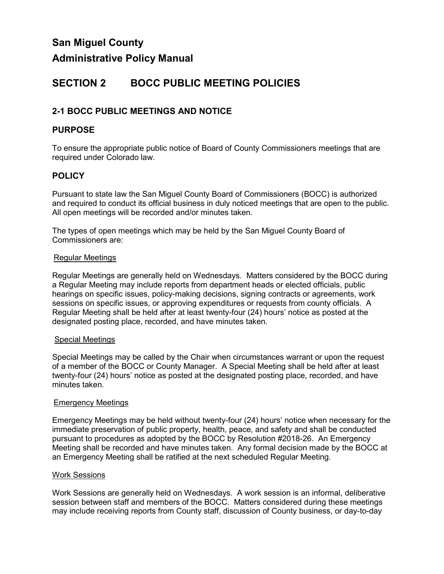## **Administrative Policy Manual**

# **SECTION 2 BOCC PUBLIC MEETING POLICIES**

## **2-1 BOCC PUBLIC MEETINGS AND NOTICE**

### **PURPOSE**

To ensure the appropriate public notice of Board of County Commissioners meetings that are required under Colorado law.

## **POLICY**

Pursuant to state law the San Miguel County Board of Commissioners (BOCC) is authorized and required to conduct its official business in duly noticed meetings that are open to the public. All open meetings will be recorded and/or minutes taken.

The types of open meetings which may be held by the San Miguel County Board of Commissioners are:

#### Regular Meetings

Regular Meetings are generally held on Wednesdays. Matters considered by the BOCC during a Regular Meeting may include reports from department heads or elected officials, public hearings on specific issues, policy-making decisions, signing contracts or agreements, work sessions on specific issues, or approving expenditures or requests from county officials. A Regular Meeting shall be held after at least twenty-four (24) hours' notice as posted at the designated posting place, recorded, and have minutes taken.

#### Special Meetings

Special Meetings may be called by the Chair when circumstances warrant or upon the request of a member of the BOCC or County Manager. A Special Meeting shall be held after at least twenty-four (24) hours' notice as posted at the designated posting place, recorded, and have minutes taken.

#### Emergency Meetings

Emergency Meetings may be held without twenty-four (24) hours' notice when necessary for the immediate preservation of public property, health, peace, and safety and shall be conducted pursuant to procedures as adopted by the BOCC by Resolution #2018-26. An Emergency Meeting shall be recorded and have minutes taken. Any formal decision made by the BOCC at an Emergency Meeting shall be ratified at the next scheduled Regular Meeting.

#### Work Sessions

Work Sessions are generally held on Wednesdays. A work session is an informal, deliberative session between staff and members of the BOCC. Matters considered during these meetings may include receiving reports from County staff, discussion of County business, or day-to-day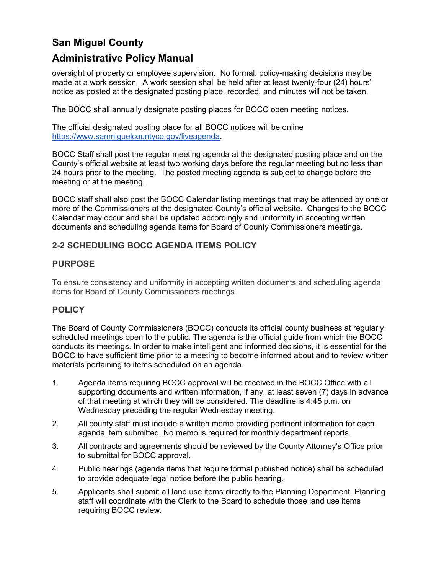## **Administrative Policy Manual**

oversight of property or employee supervision. No formal, policy-making decisions may be made at a work session. A work session shall be held after at least twenty-four (24) hours' notice as posted at the designated posting place, recorded, and minutes will not be taken.

The BOCC shall annually designate posting places for BOCC open meeting notices.

The official designated posting place for all BOCC notices will be online [https://www.sanmiguelcountyco.gov/liveagenda.](https://www.sanmiguelcountyco.gov/liveagenda)

BOCC Staff shall post the regular meeting agenda at the designated posting place and on the County's official website at least two working days before the regular meeting but no less than 24 hours prior to the meeting. The posted meeting agenda is subject to change before the meeting or at the meeting.

BOCC staff shall also post the BOCC Calendar listing meetings that may be attended by one or more of the Commissioners at the designated County's official website. Changes to the BOCC Calendar may occur and shall be updated accordingly and uniformity in accepting written documents and scheduling agenda items for Board of County Commissioners meetings.

## **2-2 SCHEDULING BOCC AGENDA ITEMS POLICY**

## **PURPOSE**

To ensure consistency and uniformity in accepting written documents and scheduling agenda items for Board of County Commissioners meetings.

## **POLICY**

The Board of County Commissioners (BOCC) conducts its official county business at regularly scheduled meetings open to the public. The agenda is the official guide from which the BOCC conducts its meetings. In order to make intelligent and informed decisions, it is essential for the BOCC to have sufficient time prior to a meeting to become informed about and to review written materials pertaining to items scheduled on an agenda.

- 1. Agenda items requiring BOCC approval will be received in the BOCC Office with all supporting documents and written information, if any, at least seven (7) days in advance of that meeting at which they will be considered. The deadline is 4:45 p.m. on Wednesday preceding the regular Wednesday meeting.
- 2. All county staff must include a written memo providing pertinent information for each agenda item submitted. No memo is required for monthly department reports.
- 3. All contracts and agreements should be reviewed by the County Attorney's Office prior to submittal for BOCC approval.
- 4. Public hearings (agenda items that require formal published notice) shall be scheduled to provide adequate legal notice before the public hearing.
- 5. Applicants shall submit all land use items directly to the Planning Department. Planning staff will coordinate with the Clerk to the Board to schedule those land use items requiring BOCC review.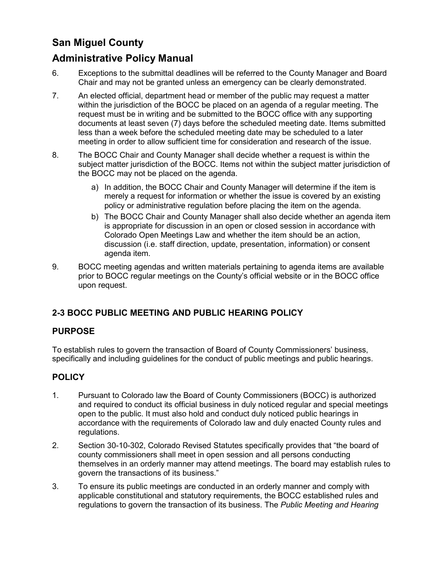## **Administrative Policy Manual**

- 6. Exceptions to the submittal deadlines will be referred to the County Manager and Board Chair and may not be granted unless an emergency can be clearly demonstrated.
- 7. An elected official, department head or member of the public may request a matter within the jurisdiction of the BOCC be placed on an agenda of a regular meeting. The request must be in writing and be submitted to the BOCC office with any supporting documents at least seven (7) days before the scheduled meeting date. Items submitted less than a week before the scheduled meeting date may be scheduled to a later meeting in order to allow sufficient time for consideration and research of the issue.
- 8. The BOCC Chair and County Manager shall decide whether a request is within the subject matter jurisdiction of the BOCC. Items not within the subject matter jurisdiction of the BOCC may not be placed on the agenda.
	- a) In addition, the BOCC Chair and County Manager will determine if the item is merely a request for information or whether the issue is covered by an existing policy or administrative regulation before placing the item on the agenda.
	- b) The BOCC Chair and County Manager shall also decide whether an agenda item is appropriate for discussion in an open or closed session in accordance with Colorado Open Meetings Law and whether the item should be an action, discussion (i.e. staff direction, update, presentation, information) or consent agenda item.
- 9. BOCC meeting agendas and written materials pertaining to agenda items are available prior to BOCC regular meetings on the County's official website or in the BOCC office upon request.

## **2-3 BOCC PUBLIC MEETING AND PUBLIC HEARING POLICY**

### **PURPOSE**

To establish rules to govern the transaction of Board of County Commissioners' business, specifically and including guidelines for the conduct of public meetings and public hearings.

## **POLICY**

- 1. Pursuant to Colorado law the Board of County Commissioners (BOCC) is authorized and required to conduct its official business in duly noticed regular and special meetings open to the public. It must also hold and conduct duly noticed public hearings in accordance with the requirements of Colorado law and duly enacted County rules and regulations.
- 2. Section 30-10-302, Colorado Revised Statutes specifically provides that "the board of county commissioners shall meet in open session and all persons conducting themselves in an orderly manner may attend meetings. The board may establish rules to govern the transactions of its business."
- 3. To ensure its public meetings are conducted in an orderly manner and comply with applicable constitutional and statutory requirements, the BOCC established rules and regulations to govern the transaction of its business. The *Public Meeting and Hearing*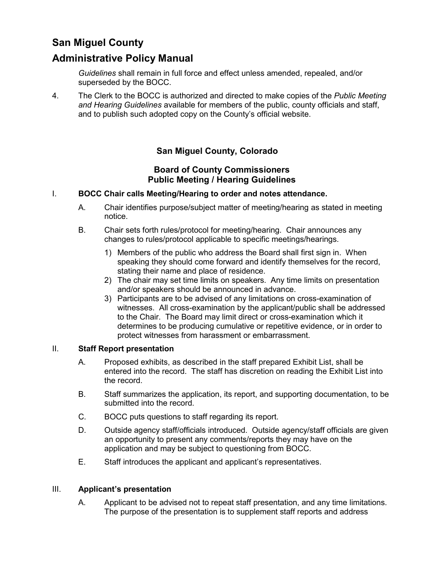## **Administrative Policy Manual**

*Guidelines* shall remain in full force and effect unless amended, repealed, and/or superseded by the BOCC.

4. The Clerk to the BOCC is authorized and directed to make copies of the *Public Meeting and Hearing Guidelines* available for members of the public, county officials and staff, and to publish such adopted copy on the County's official website.

## **San Miguel County, Colorado**

### **Board of County Commissioners Public Meeting / Hearing Guidelines**

#### I. **BOCC Chair calls Meeting/Hearing to order and notes attendance.**

- A. Chair identifies purpose/subject matter of meeting/hearing as stated in meeting notice.
- B. Chair sets forth rules/protocol for meeting/hearing. Chair announces any changes to rules/protocol applicable to specific meetings/hearings.
	- 1) Members of the public who address the Board shall first sign in. When speaking they should come forward and identify themselves for the record, stating their name and place of residence.
	- 2) The chair may set time limits on speakers. Any time limits on presentation and/or speakers should be announced in advance.
	- 3) Participants are to be advised of any limitations on cross-examination of witnesses. All cross-examination by the applicant/public shall be addressed to the Chair. The Board may limit direct or cross-examination which it determines to be producing cumulative or repetitive evidence, or in order to protect witnesses from harassment or embarrassment.

#### II. **Staff Report presentation**

- A. Proposed exhibits, as described in the staff prepared Exhibit List, shall be entered into the record. The staff has discretion on reading the Exhibit List into the record.
- B. Staff summarizes the application, its report, and supporting documentation, to be submitted into the record.
- C. BOCC puts questions to staff regarding its report.
- D. Outside agency staff/officials introduced. Outside agency/staff officials are given an opportunity to present any comments/reports they may have on the application and may be subject to questioning from BOCC.
- E. Staff introduces the applicant and applicant's representatives.

### III. **Applicant's presentation**

A. Applicant to be advised not to repeat staff presentation, and any time limitations. The purpose of the presentation is to supplement staff reports and address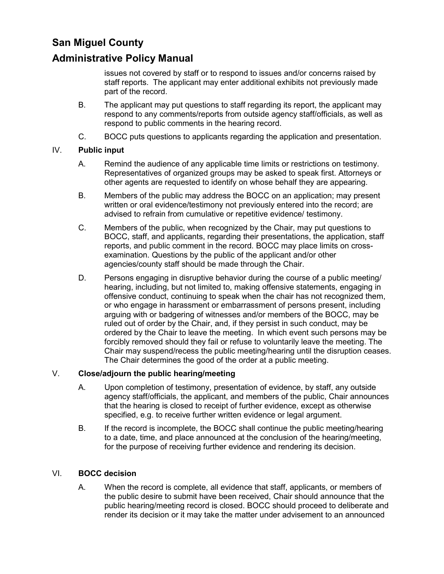## **Administrative Policy Manual**

issues not covered by staff or to respond to issues and/or concerns raised by staff reports. The applicant may enter additional exhibits not previously made part of the record.

- B. The applicant may put questions to staff regarding its report, the applicant may respond to any comments/reports from outside agency staff/officials, as well as respond to public comments in the hearing record.
- C. BOCC puts questions to applicants regarding the application and presentation.

#### IV. **Public input**

- A. Remind the audience of any applicable time limits or restrictions on testimony. Representatives of organized groups may be asked to speak first. Attorneys or other agents are requested to identify on whose behalf they are appearing.
- B. Members of the public may address the BOCC on an application; may present written or oral evidence/testimony not previously entered into the record; are advised to refrain from cumulative or repetitive evidence/ testimony.
- C. Members of the public, when recognized by the Chair, may put questions to BOCC, staff, and applicants, regarding their presentations, the application, staff reports, and public comment in the record. BOCC may place limits on crossexamination. Questions by the public of the applicant and/or other agencies/county staff should be made through the Chair.
- D. Persons engaging in disruptive behavior during the course of a public meeting/ hearing, including, but not limited to, making offensive statements, engaging in offensive conduct, continuing to speak when the chair has not recognized them, or who engage in harassment or embarrassment of persons present, including arguing with or badgering of witnesses and/or members of the BOCC, may be ruled out of order by the Chair, and, if they persist in such conduct, may be ordered by the Chair to leave the meeting. In which event such persons may be forcibly removed should they fail or refuse to voluntarily leave the meeting. The Chair may suspend/recess the public meeting/hearing until the disruption ceases. The Chair determines the good of the order at a public meeting.

### V. **Close/adjourn the public hearing/meeting**

- A. Upon completion of testimony, presentation of evidence, by staff, any outside agency staff/officials, the applicant, and members of the public, Chair announces that the hearing is closed to receipt of further evidence, except as otherwise specified, e.g. to receive further written evidence or legal argument.
- B. If the record is incomplete, the BOCC shall continue the public meeting/hearing to a date, time, and place announced at the conclusion of the hearing/meeting, for the purpose of receiving further evidence and rendering its decision.

#### VI. **BOCC decision**

A. When the record is complete, all evidence that staff, applicants, or members of the public desire to submit have been received, Chair should announce that the public hearing/meeting record is closed. BOCC should proceed to deliberate and render its decision or it may take the matter under advisement to an announced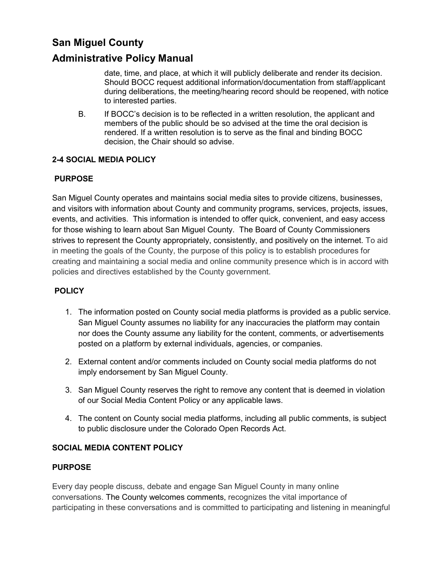## **Administrative Policy Manual**

date, time, and place, at which it will publicly deliberate and render its decision. Should BOCC request additional information/documentation from staff/applicant during deliberations, the meeting/hearing record should be reopened, with notice to interested parties.

B. If BOCC's decision is to be reflected in a written resolution, the applicant and members of the public should be so advised at the time the oral decision is rendered. If a written resolution is to serve as the final and binding BOCC decision, the Chair should so advise.

### **2-4 SOCIAL MEDIA POLICY**

### **PURPOSE**

San Miguel County operates and maintains social media sites to provide citizens, businesses, and visitors with information about County and community programs, services, projects, issues, events, and activities. This information is intended to offer quick, convenient, and easy access for those wishing to learn about San Miguel County. The Board of County Commissioners strives to represent the County appropriately, consistently, and positively on the internet. To aid in meeting the goals of the County, the purpose of this policy is to establish procedures for creating and maintaining a social media and online community presence which is in accord with policies and directives established by the County government.

### **POLICY**

- 1. The information posted on County social media platforms is provided as a public service. San Miguel County assumes no liability for any inaccuracies the platform may contain nor does the County assume any liability for the content, comments, or advertisements posted on a platform by external individuals, agencies, or companies.
- 2. External content and/or comments included on County social media platforms do not imply endorsement by San Miguel County.
- 3. San Miguel County reserves the right to remove any content that is deemed in violation of our Social Media Content Policy or any applicable laws.
- 4. The content on County social media platforms, including all public comments, is subject to public disclosure under the Colorado Open Records Act.

### **SOCIAL MEDIA CONTENT POLICY**

#### **PURPOSE**

Every day people discuss, debate and engage San Miguel County in many online conversations. The County welcomes comments, recognizes the vital importance of participating in these conversations and is committed to participating and listening in meaningful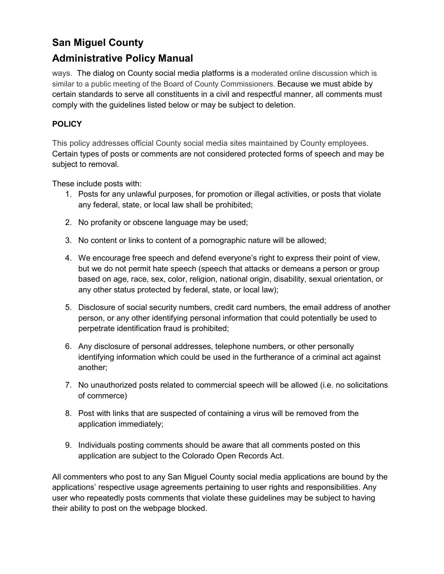## **Administrative Policy Manual**

ways. The dialog on County social media platforms is a moderated online discussion which is similar to a public meeting of the Board of County Commissioners. Because we must abide by certain standards to serve all constituents in a civil and respectful manner, all comments must comply with the guidelines listed below or may be subject to deletion.

## **POLICY**

This policy addresses official County social media sites maintained by County employees. Certain types of posts or comments are not considered protected forms of speech and may be subject to removal.

These include posts with:

- 1. Posts for any unlawful purposes, for promotion or illegal activities, or posts that violate any federal, state, or local law shall be prohibited;
- 2. No profanity or obscene language may be used;
- 3. No content or links to content of a pornographic nature will be allowed;
- 4. We encourage free speech and defend everyone's right to express their point of view, but we do not permit hate speech (speech that attacks or demeans a person or group based on age, race, sex, color, religion, national origin, disability, sexual orientation, or any other status protected by federal, state, or local law);
- 5. Disclosure of social security numbers, credit card numbers, the email address of another person, or any other identifying personal information that could potentially be used to perpetrate identification fraud is prohibited;
- 6. Any disclosure of personal addresses, telephone numbers, or other personally identifying information which could be used in the furtherance of a criminal act against another;
- 7. No unauthorized posts related to commercial speech will be allowed (i.e. no solicitations of commerce)
- 8. Post with links that are suspected of containing a virus will be removed from the application immediately;
- 9. Individuals posting comments should be aware that all comments posted on this application are subject to the Colorado Open Records Act.

All commenters who post to any San Miguel County social media applications are bound by the applications' respective usage agreements pertaining to user rights and responsibilities. Any user who repeatedly posts comments that violate these guidelines may be subject to having their ability to post on the webpage blocked.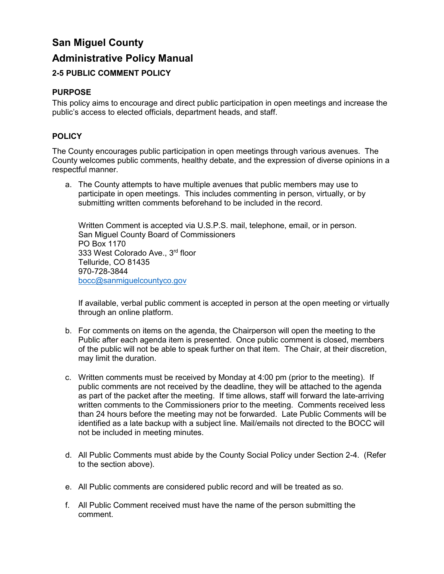# **San Miguel County Administrative Policy Manual 2-5 PUBLIC COMMENT POLICY**

### **PURPOSE**

This policy aims to encourage and direct public participation in open meetings and increase the public's access to elected officials, department heads, and staff.

### **POLICY**

The County encourages public participation in open meetings through various avenues. The County welcomes public comments, healthy debate, and the expression of diverse opinions in a respectful manner.

a. The County attempts to have multiple avenues that public members may use to participate in open meetings. This includes commenting in person, virtually, or by submitting written comments beforehand to be included in the record.

Written Comment is accepted via U.S.P.S. mail, telephone, email, or in person. San Miguel County Board of Commissioners PO Box 1170 333 West Colorado Ave., 3rd floor Telluride, CO 81435 970-728-3844 [bocc@sanmiguelcountyco.gov](mailto:bocc@sanmiguelcountyco.gov)

If available, verbal public comment is accepted in person at the open meeting or virtually through an online platform.

- b. For comments on items on the agenda, the Chairperson will open the meeting to the Public after each agenda item is presented. Once public comment is closed, members of the public will not be able to speak further on that item. The Chair, at their discretion, may limit the duration.
- c. Written comments must be received by Monday at 4:00 pm (prior to the meeting). If public comments are not received by the deadline, they will be attached to the agenda as part of the packet after the meeting. If time allows, staff will forward the late-arriving written comments to the Commissioners prior to the meeting. Comments received less than 24 hours before the meeting may not be forwarded. Late Public Comments will be identified as a late backup with a subject line. Mail/emails not directed to the BOCC will not be included in meeting minutes.
- d. All Public Comments must abide by the County Social Policy under Section 2-4. (Refer to the section above).
- e. All Public comments are considered public record and will be treated as so.
- f. All Public Comment received must have the name of the person submitting the comment.